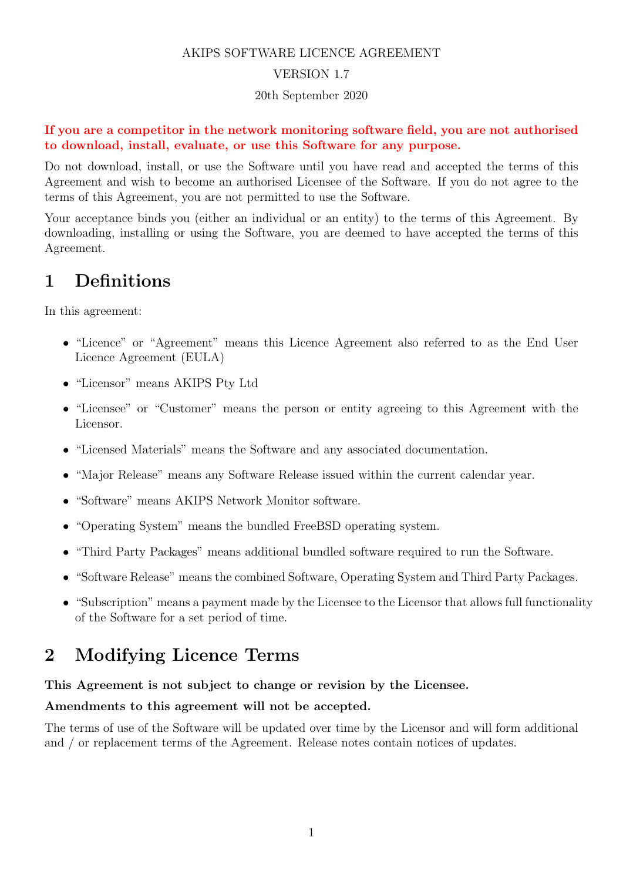#### AKIPS SOFTWARE LICENCE AGREEMENT

#### VERSION 1.7

#### 20th September 2020

#### If you are a competitor in the network monitoring software field, you are not authorised to download, install, evaluate, or use this Software for any purpose.

Do not download, install, or use the Software until you have read and accepted the terms of this Agreement and wish to become an authorised Licensee of the Software. If you do not agree to the terms of this Agreement, you are not permitted to use the Software.

Your acceptance binds you (either an individual or an entity) to the terms of this Agreement. By downloading, installing or using the Software, you are deemed to have accepted the terms of this Agreement.

#### 1 Definitions

In this agreement:

- "Licence" or "Agreement" means this Licence Agreement also referred to as the End User Licence Agreement (EULA)
- "Licensor" means AKIPS Pty Ltd
- "Licensee" or "Customer" means the person or entity agreeing to this Agreement with the Licensor.
- "Licensed Materials" means the Software and any associated documentation.
- "Major Release" means any Software Release issued within the current calendar year.
- "Software" means AKIPS Network Monitor software.
- "Operating System" means the bundled FreeBSD operating system.
- "Third Party Packages" means additional bundled software required to run the Software.
- "Software Release" means the combined Software, Operating System and Third Party Packages.
- "Subscription" means a payment made by the Licensee to the Licensor that allows full functionality of the Software for a set period of time.

### 2 Modifying Licence Terms

#### This Agreement is not subject to change or revision by the Licensee.

#### Amendments to this agreement will not be accepted.

The terms of use of the Software will be updated over time by the Licensor and will form additional and / or replacement terms of the Agreement. Release notes contain notices of updates.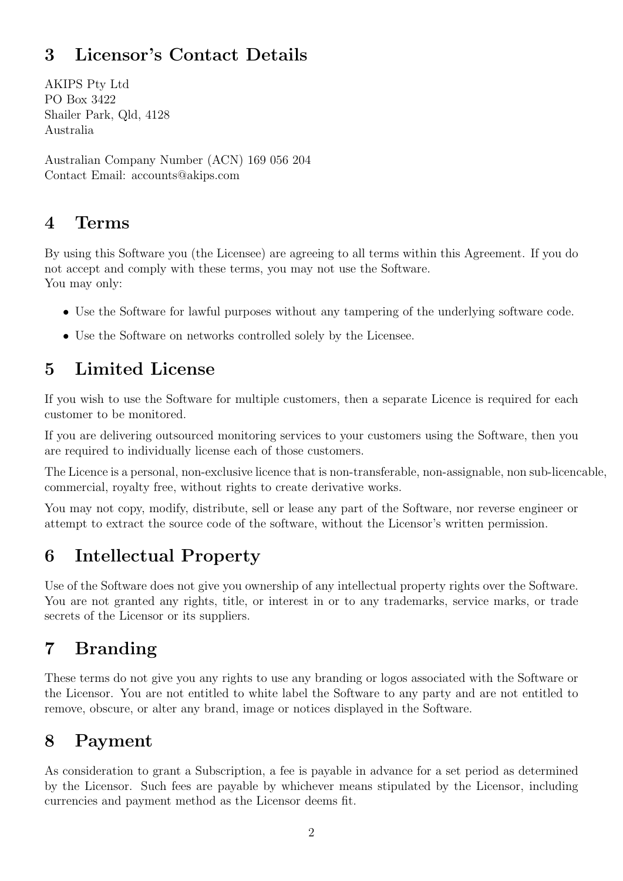# 3 Licensor's Contact Details

AKIPS Pty Ltd PO Box 3422 Shailer Park, Qld, 4128 Australia

Australian Company Number (ACN) 169 056 204 Contact Email: accounts@akips.com

#### 4 Terms

By using this Software you (the Licensee) are agreeing to all terms within this Agreement. If you do not accept and comply with these terms, you may not use the Software. You may only:

- Use the Software for lawful purposes without any tampering of the underlying software code.
- Use the Software on networks controlled solely by the Licensee.

### 5 Limited License

If you wish to use the Software for multiple customers, then a separate Licence is required for each customer to be monitored.

If you are delivering outsourced monitoring services to your customers using the Software, then you are required to individually license each of those customers.

The Licence is a personal, non-exclusive licence that is non-transferable, non-assignable, non sub-licencable, commercial, royalty free, without rights to create derivative works.

You may not copy, modify, distribute, sell or lease any part of the Software, nor reverse engineer or attempt to extract the source code of the software, without the Licensor's written permission.

# 6 Intellectual Property

Use of the Software does not give you ownership of any intellectual property rights over the Software. You are not granted any rights, title, or interest in or to any trademarks, service marks, or trade secrets of the Licensor or its suppliers.

# 7 Branding

These terms do not give you any rights to use any branding or logos associated with the Software or the Licensor. You are not entitled to white label the Software to any party and are not entitled to remove, obscure, or alter any brand, image or notices displayed in the Software.

#### 8 Payment

As consideration to grant a Subscription, a fee is payable in advance for a set period as determined by the Licensor. Such fees are payable by whichever means stipulated by the Licensor, including currencies and payment method as the Licensor deems fit.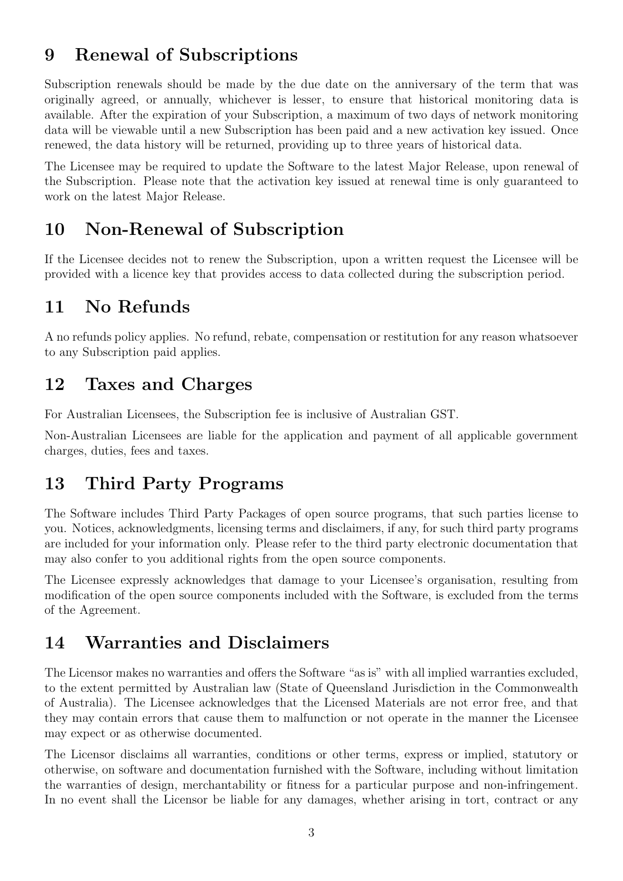### 9 Renewal of Subscriptions

Subscription renewals should be made by the due date on the anniversary of the term that was originally agreed, or annually, whichever is lesser, to ensure that historical monitoring data is available. After the expiration of your Subscription, a maximum of two days of network monitoring data will be viewable until a new Subscription has been paid and a new activation key issued. Once renewed, the data history will be returned, providing up to three years of historical data.

The Licensee may be required to update the Software to the latest Major Release, upon renewal of the Subscription. Please note that the activation key issued at renewal time is only guaranteed to work on the latest Major Release.

#### 10 Non-Renewal of Subscription

If the Licensee decides not to renew the Subscription, upon a written request the Licensee will be provided with a licence key that provides access to data collected during the subscription period.

#### 11 No Refunds

A no refunds policy applies. No refund, rebate, compensation or restitution for any reason whatsoever to any Subscription paid applies.

#### 12 Taxes and Charges

For Australian Licensees, the Subscription fee is inclusive of Australian GST.

Non-Australian Licensees are liable for the application and payment of all applicable government charges, duties, fees and taxes.

#### 13 Third Party Programs

The Software includes Third Party Packages of open source programs, that such parties license to you. Notices, acknowledgments, licensing terms and disclaimers, if any, for such third party programs are included for your information only. Please refer to the third party electronic documentation that may also confer to you additional rights from the open source components.

The Licensee expressly acknowledges that damage to your Licensee's organisation, resulting from modification of the open source components included with the Software, is excluded from the terms of the Agreement.

### 14 Warranties and Disclaimers

The Licensor makes no warranties and offers the Software "as is" with all implied warranties excluded, to the extent permitted by Australian law (State of Queensland Jurisdiction in the Commonwealth of Australia). The Licensee acknowledges that the Licensed Materials are not error free, and that they may contain errors that cause them to malfunction or not operate in the manner the Licensee may expect or as otherwise documented.

The Licensor disclaims all warranties, conditions or other terms, express or implied, statutory or otherwise, on software and documentation furnished with the Software, including without limitation the warranties of design, merchantability or fitness for a particular purpose and non-infringement. In no event shall the Licensor be liable for any damages, whether arising in tort, contract or any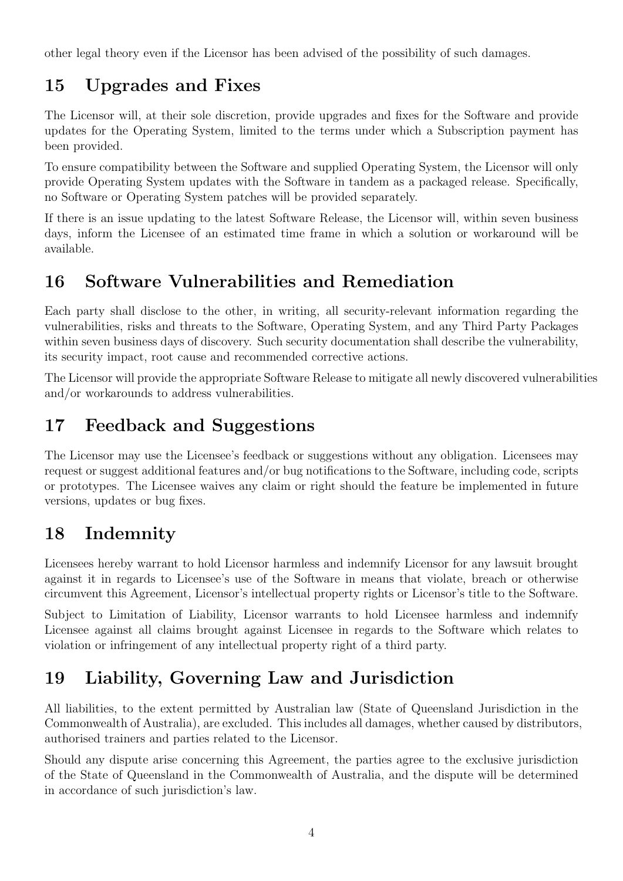other legal theory even if the Licensor has been advised of the possibility of such damages.

# 15 Upgrades and Fixes

The Licensor will, at their sole discretion, provide upgrades and fixes for the Software and provide updates for the Operating System, limited to the terms under which a Subscription payment has been provided.

To ensure compatibility between the Software and supplied Operating System, the Licensor will only provide Operating System updates with the Software in tandem as a packaged release. Specifically, no Software or Operating System patches will be provided separately.

If there is an issue updating to the latest Software Release, the Licensor will, within seven business days, inform the Licensee of an estimated time frame in which a solution or workaround will be available.

# 16 Software Vulnerabilities and Remediation

Each party shall disclose to the other, in writing, all security-relevant information regarding the vulnerabilities, risks and threats to the Software, Operating System, and any Third Party Packages within seven business days of discovery. Such security documentation shall describe the vulnerability, its security impact, root cause and recommended corrective actions.

The Licensor will provide the appropriate Software Release to mitigate all newly discovered vulnerabilities and/or workarounds to address vulnerabilities.

### 17 Feedback and Suggestions

The Licensor may use the Licensee's feedback or suggestions without any obligation. Licensees may request or suggest additional features and/or bug notifications to the Software, including code, scripts or prototypes. The Licensee waives any claim or right should the feature be implemented in future versions, updates or bug fixes.

### 18 Indemnity

Licensees hereby warrant to hold Licensor harmless and indemnify Licensor for any lawsuit brought against it in regards to Licensee's use of the Software in means that violate, breach or otherwise circumvent this Agreement, Licensor's intellectual property rights or Licensor's title to the Software.

Subject to Limitation of Liability, Licensor warrants to hold Licensee harmless and indemnify Licensee against all claims brought against Licensee in regards to the Software which relates to violation or infringement of any intellectual property right of a third party.

# 19 Liability, Governing Law and Jurisdiction

All liabilities, to the extent permitted by Australian law (State of Queensland Jurisdiction in the Commonwealth of Australia), are excluded. This includes all damages, whether caused by distributors, authorised trainers and parties related to the Licensor.

Should any dispute arise concerning this Agreement, the parties agree to the exclusive jurisdiction of the State of Queensland in the Commonwealth of Australia, and the dispute will be determined in accordance of such jurisdiction's law.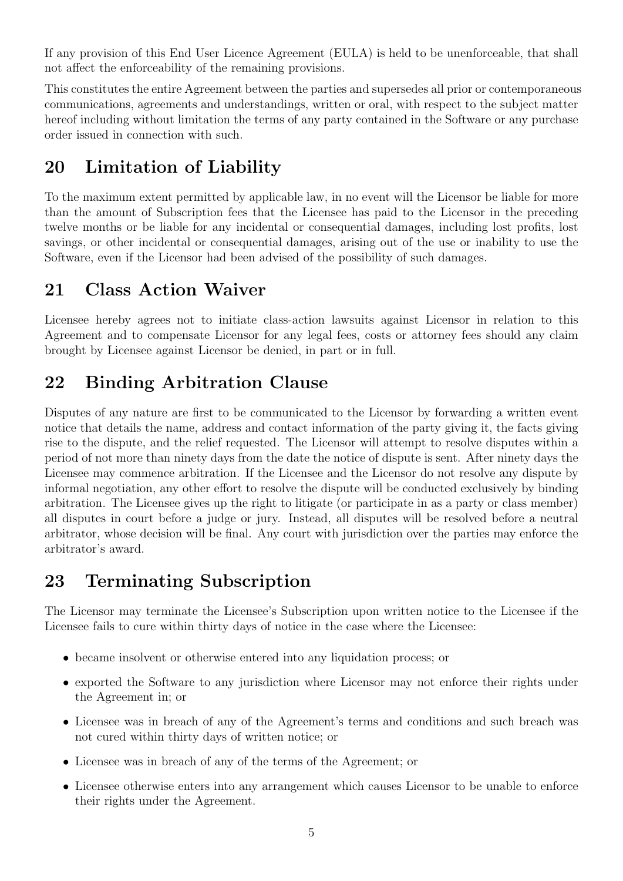If any provision of this End User Licence Agreement (EULA) is held to be unenforceable, that shall not affect the enforceability of the remaining provisions.

This constitutes the entire Agreement between the parties and supersedes all prior or contemporaneous communications, agreements and understandings, written or oral, with respect to the subject matter hereof including without limitation the terms of any party contained in the Software or any purchase order issued in connection with such.

#### 20 Limitation of Liability

To the maximum extent permitted by applicable law, in no event will the Licensor be liable for more than the amount of Subscription fees that the Licensee has paid to the Licensor in the preceding twelve months or be liable for any incidental or consequential damages, including lost profits, lost savings, or other incidental or consequential damages, arising out of the use or inability to use the Software, even if the Licensor had been advised of the possibility of such damages.

### 21 Class Action Waiver

Licensee hereby agrees not to initiate class-action lawsuits against Licensor in relation to this Agreement and to compensate Licensor for any legal fees, costs or attorney fees should any claim brought by Licensee against Licensor be denied, in part or in full.

# 22 Binding Arbitration Clause

Disputes of any nature are first to be communicated to the Licensor by forwarding a written event notice that details the name, address and contact information of the party giving it, the facts giving rise to the dispute, and the relief requested. The Licensor will attempt to resolve disputes within a period of not more than ninety days from the date the notice of dispute is sent. After ninety days the Licensee may commence arbitration. If the Licensee and the Licensor do not resolve any dispute by informal negotiation, any other effort to resolve the dispute will be conducted exclusively by binding arbitration. The Licensee gives up the right to litigate (or participate in as a party or class member) all disputes in court before a judge or jury. Instead, all disputes will be resolved before a neutral arbitrator, whose decision will be final. Any court with jurisdiction over the parties may enforce the arbitrator's award.

# 23 Terminating Subscription

The Licensor may terminate the Licensee's Subscription upon written notice to the Licensee if the Licensee fails to cure within thirty days of notice in the case where the Licensee:

- became insolvent or otherwise entered into any liquidation process; or
- exported the Software to any jurisdiction where Licensor may not enforce their rights under the Agreement in; or
- Licensee was in breach of any of the Agreement's terms and conditions and such breach was not cured within thirty days of written notice; or
- Licensee was in breach of any of the terms of the Agreement; or
- Licensee otherwise enters into any arrangement which causes Licensor to be unable to enforce their rights under the Agreement.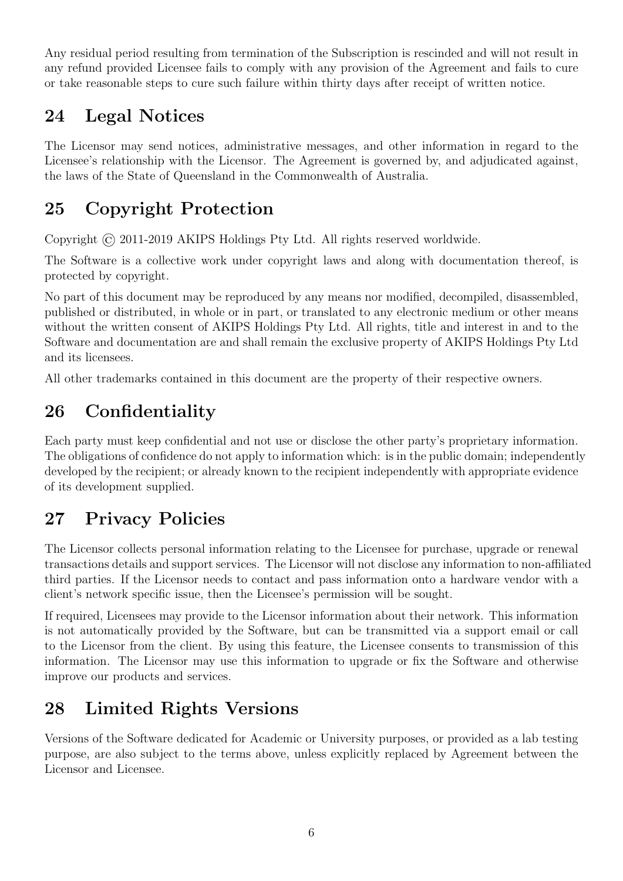Any residual period resulting from termination of the Subscription is rescinded and will not result in any refund provided Licensee fails to comply with any provision of the Agreement and fails to cure or take reasonable steps to cure such failure within thirty days after receipt of written notice.

# 24 Legal Notices

The Licensor may send notices, administrative messages, and other information in regard to the Licensee's relationship with the Licensor. The Agreement is governed by, and adjudicated against, the laws of the State of Queensland in the Commonwealth of Australia.

# 25 Copyright Protection

Copyright © 2011-2019 AKIPS Holdings Pty Ltd. All rights reserved worldwide.

The Software is a collective work under copyright laws and along with documentation thereof, is protected by copyright.

No part of this document may be reproduced by any means nor modified, decompiled, disassembled, published or distributed, in whole or in part, or translated to any electronic medium or other means without the written consent of AKIPS Holdings Pty Ltd. All rights, title and interest in and to the Software and documentation are and shall remain the exclusive property of AKIPS Holdings Pty Ltd and its licensees.

All other trademarks contained in this document are the property of their respective owners.

# 26 Confidentiality

Each party must keep confidential and not use or disclose the other party's proprietary information. The obligations of confidence do not apply to information which: is in the public domain; independently developed by the recipient; or already known to the recipient independently with appropriate evidence of its development supplied.

# 27 Privacy Policies

The Licensor collects personal information relating to the Licensee for purchase, upgrade or renewal transactions details and support services. The Licensor will not disclose any information to non-affiliated third parties. If the Licensor needs to contact and pass information onto a hardware vendor with a client's network specific issue, then the Licensee's permission will be sought.

If required, Licensees may provide to the Licensor information about their network. This information is not automatically provided by the Software, but can be transmitted via a support email or call to the Licensor from the client. By using this feature, the Licensee consents to transmission of this information. The Licensor may use this information to upgrade or fix the Software and otherwise improve our products and services.

# 28 Limited Rights Versions

Versions of the Software dedicated for Academic or University purposes, or provided as a lab testing purpose, are also subject to the terms above, unless explicitly replaced by Agreement between the Licensor and Licensee.